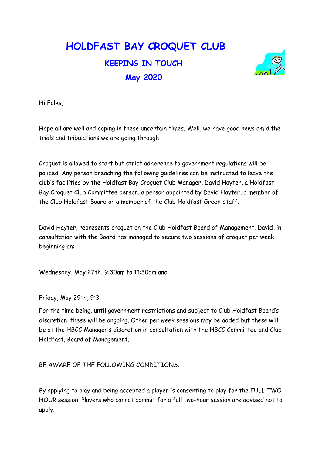## HOLDFAST BAY CROQUET CLUB KEEPING IN TOUCH May 2020



Hi Folks,

Hope all are well and coping in these uncertain times. Well, we have good news amid the trials and tribulations we are going through.

Croquet is allowed to start but strict adherence to government regulations will be policed. Any person breaching the following guidelines can be instructed to leave the club's facilities by the Holdfast Bay Croquet Club Manager, David Hayter, a Holdfast Bay Croquet Club Committee person, a person appointed by David Hayter, a member of the Club Holdfast Board or a member of the Club Holdfast Green-staff.

David Hayter, represents croquet on the Club Holdfast Board of Management. David, in consultation with the Board has managed to secure two sessions of croquet per week beginning on:

Wednesday, May 27th, 9:30am to 11:30am and

Friday, May 29th, 9:3

For the time being, until government restrictions and subject to Club Holdfast Board's discretion, these will be ongoing. Other per week sessions may be added but these will be at the HBCC Manager's discretion in consultation with the HBCC Committee and Club Holdfast, Board of Management.

BE AWARE OF THE FOLLOWING CONDITIONS:

By applying to play and being accepted a player is consenting to play for the FULL TWO HOUR session. Players who cannot commit for a full two-hour session are advised not to apply.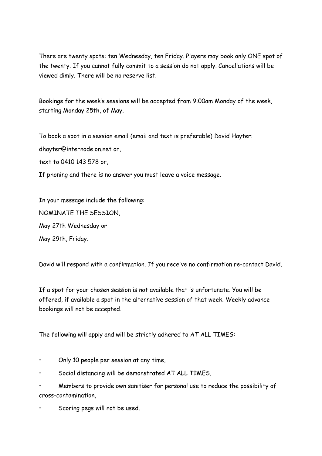There are twenty spots: ten Wednesday, ten Friday. Players may book only ONE spot of the twenty. If you cannot fully commit to a session do not apply. Cancellations will be viewed dimly. There will be no reserve list.

Bookings for the week's sessions will be accepted from 9:00am Monday of the week, starting Monday 25th, of May.

To book a spot in a session email (email and text is preferable) David Hayter:

dhayter@internode.on.net or,

text to 0410 143 578 or,

If phoning and there is no answer you must leave a voice message.

In your message include the following: NOMINATE THE SESSION, May 27th Wednesday or

May 29th, Friday.

David will respond with a confirmation. If you receive no confirmation re-contact David.

If a spot for your chosen session is not available that is unfortunate. You will be offered, if available a spot in the alternative session of that week. Weekly advance bookings will not be accepted.

The following will apply and will be strictly adhered to AT ALL TIMES:

- Only 10 people per session at any time,
- Social distancing will be demonstrated AT ALL TIMES,

• Members to provide own sanitiser for personal use to reduce the possibility of cross-contamination,

• Scoring pegs will not be used.